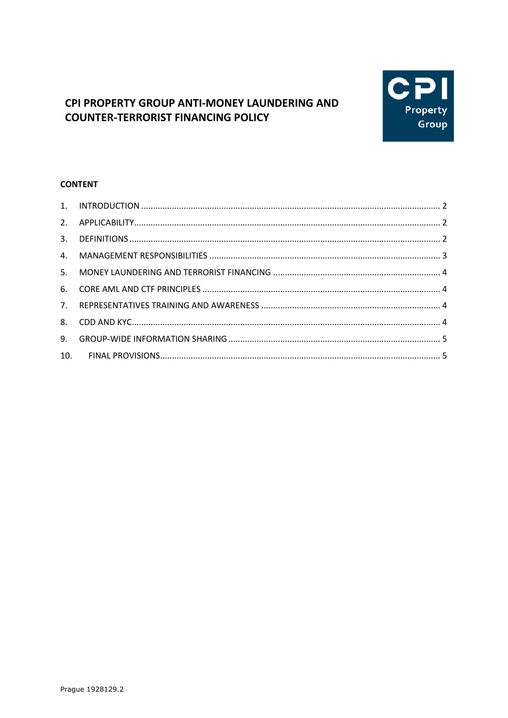

# CPI PROPERTY GROUP ANTI-MONEY LAUNDERING AND **COUNTER-TERRORIST FINANCING POLICY**

# **CONTENT**

| 5. |  |
|----|--|
|    |  |
|    |  |
|    |  |
| 9. |  |
|    |  |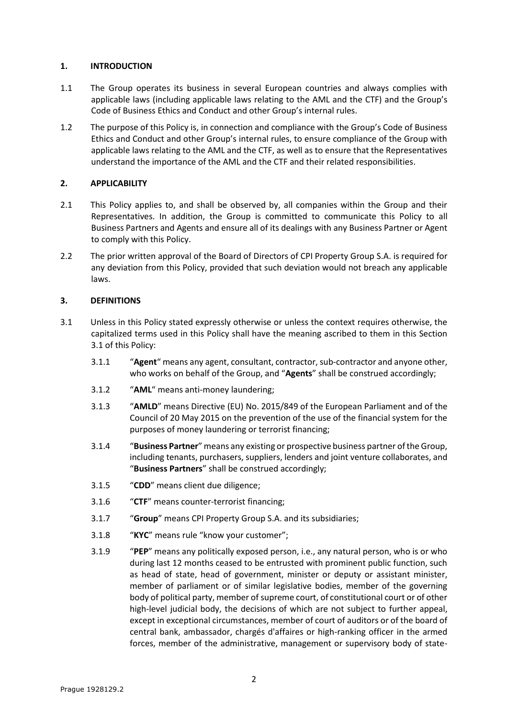### <span id="page-1-0"></span>**1. INTRODUCTION**

- 1.1 The Group operates its business in several European countries and always complies with applicable laws (including applicable laws relating to the AML and the CTF) and the Group's Code of Business Ethics and Conduct and other Group's internal rules.
- 1.2 The purpose of this Policy is, in connection and compliance with the Group's Code of Business Ethics and Conduct and other Group's internal rules, to ensure compliance of the Group with applicable laws relating to the AML and the CTF, as well as to ensure that the Representatives understand the importance of the AML and the CTF and their related responsibilities.

# <span id="page-1-1"></span>**2. APPLICABILITY**

- 2.1 This Policy applies to, and shall be observed by, all companies within the Group and their Representatives. In addition, the Group is committed to communicate this Policy to all Business Partners and Agents and ensure all of its dealings with any Business Partner or Agent to comply with this Policy.
- 2.2 The prior written approval of the Board of Directors of CPI Property Group S.A. is required for any deviation from this Policy, provided that such deviation would not breach any applicable laws.

### <span id="page-1-2"></span>**3. DEFINITIONS**

- <span id="page-1-3"></span>3.1 Unless in this Policy stated expressly otherwise or unless the context requires otherwise, the capitalized terms used in this Policy shall have the meaning ascribed to them in this Section [3.1](#page-1-3) of this Policy:
	- 3.1.1 "**Agent**" means any agent, consultant, contractor, sub-contractor and anyone other, who works on behalf of the Group, and "**Agents**" shall be construed accordingly;
	- 3.1.2 "**AML**" means anti-money laundering;
	- 3.1.3 "**AMLD**" means Directive (EU) No. 2015/849 of the European Parliament and of the Council of 20 May 2015 on the prevention of the use of the financial system for the purposes of money laundering or terrorist financing;
	- 3.1.4 "**Business Partner**" means any existing or prospective business partner of the Group, including tenants, purchasers, suppliers, lenders and joint venture collaborates, and "**Business Partners**" shall be construed accordingly;
	- 3.1.5 "**CDD**" means client due diligence;
	- 3.1.6 "**CTF**" means counter-terrorist financing;
	- 3.1.7 "**Group**" means CPI Property Group S.A. and its subsidiaries;
	- 3.1.8 "**KYC**" means rule "know your customer";
	- 3.1.9 "**PEP**" means any politically exposed person, i.e., any natural person, who is or who during last 12 months ceased to be entrusted with prominent public function, such as head of state, head of government, minister or deputy or assistant minister, member of parliament or of similar legislative bodies, member of the governing body of political party, member of supreme court, of constitutional court or of other high-level judicial body, the decisions of which are not subject to further appeal, except in exceptional circumstances, member of court of auditors or of the board of central bank, ambassador, chargés d'affaires or high-ranking officer in the armed forces, member of the administrative, management or supervisory body of state-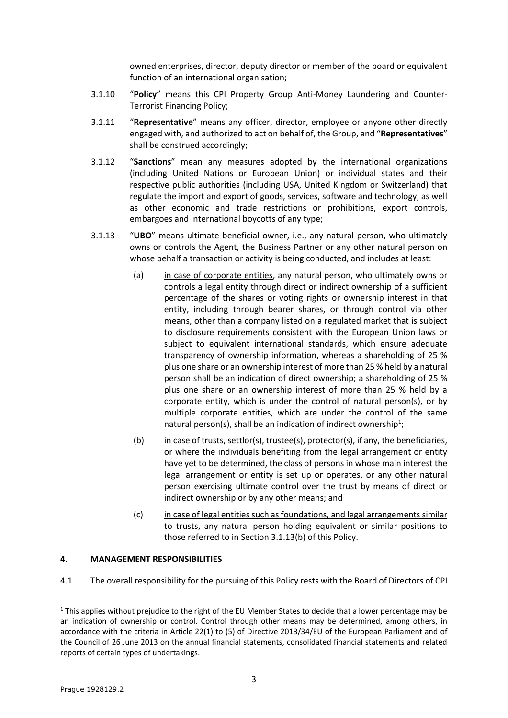owned enterprises, director, deputy director or member of the board or equivalent function of an international organisation;

- 3.1.10 "**Policy**" means this CPI Property Group Anti-Money Laundering and Counter-Terrorist Financing Policy;
- 3.1.11 "**Representative**" means any officer, director, employee or anyone other directly engaged with, and authorized to act on behalf of, the Group, and "**Representatives**" shall be construed accordingly;
- 3.1.12 "**Sanctions**" mean any measures adopted by the international organizations (including United Nations or European Union) or individual states and their respective public authorities (including USA, United Kingdom or Switzerland) that regulate the import and export of goods, services, software and technology, as well as other economic and trade restrictions or prohibitions, export controls, embargoes and international boycotts of any type;
- <span id="page-2-1"></span>3.1.13 "**UBO**" means ultimate beneficial owner, i.e., any natural person, who ultimately owns or controls the Agent, the Business Partner or any other natural person on whose behalf a transaction or activity is being conducted, and includes at least:
	- (a) in case of corporate entities, any natural person, who ultimately owns or controls a legal entity through direct or indirect ownership of a sufficient percentage of the shares or voting rights or ownership interest in that entity, including through bearer shares, or through control via other means, other than a company listed on a regulated market that is subject to disclosure requirements consistent with the European Union laws or subject to equivalent international standards, which ensure adequate transparency of ownership information, whereas a shareholding of 25 % plus one share or an ownership interest of more than 25 % held by a natural person shall be an indication of direct ownership; a shareholding of 25 % plus one share or an ownership interest of more than 25 % held by a corporate entity, which is under the control of natural person(s), or by multiple corporate entities, which are under the control of the same natural person(s), shall be an indication of indirect ownership<sup>1</sup>;
	- (b) in case of trusts, settlor(s), trustee(s), protector(s), if any, the beneficiaries, or where the individuals benefiting from the legal arrangement or entity have yet to be determined, the class of persons in whose main interest the legal arrangement or entity is set up or operates, or any other natural person exercising ultimate control over the trust by means of direct or indirect ownership or by any other means; and
	- (c) in case of legal entities such as foundations, and legal arrangements similar to trusts, any natural person holding equivalent or similar positions to those referred to in Section [3.1.13](#page-2-1)[\(b\)](#page-2-2) of this Policy.

#### <span id="page-2-2"></span><span id="page-2-0"></span>**4. MANAGEMENT RESPONSIBILITIES**

4.1 The overall responsibility for the pursuing of this Policy rests with the Board of Directors of CPI

**.** 

 $1$  This applies without prejudice to the right of the EU Member States to decide that a lower percentage may be an indication of ownership or control. Control through other means may be determined, among others, in accordance with the criteria in Article 22(1) to (5) of Directive 2013/34/EU of the European Parliament and of the Council of 26 June 2013 on the annual financial statements, consolidated financial statements and related reports of certain types of undertakings.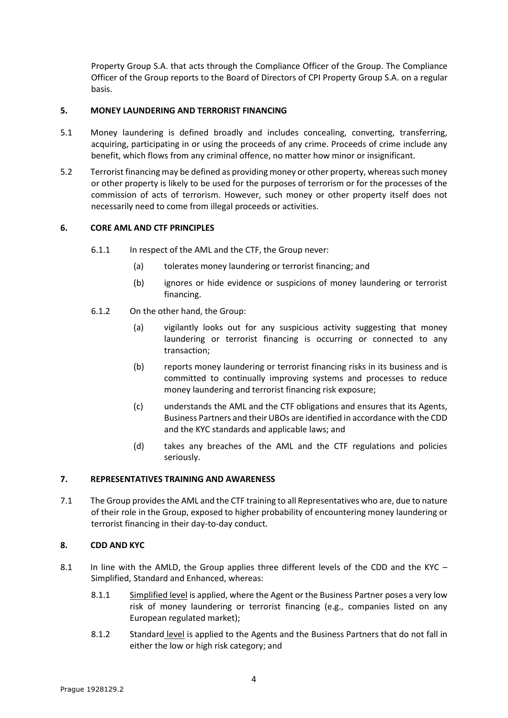Property Group S.A. that acts through the Compliance Officer of the Group. The Compliance Officer of the Group reports to the Board of Directors of CPI Property Group S.A. on a regular basis.

### <span id="page-3-0"></span>**5. MONEY LAUNDERING AND TERRORIST FINANCING**

- 5.1 Money laundering is defined broadly and includes concealing, converting, transferring, acquiring, participating in or using the proceeds of any crime. Proceeds of crime include any benefit, which flows from any criminal offence, no matter how minor or insignificant.
- 5.2 Terrorist financing may be defined as providing money or other property, whereas such money or other property is likely to be used for the purposes of terrorism or for the processes of the commission of acts of terrorism. However, such money or other property itself does not necessarily need to come from illegal proceeds or activities.

### <span id="page-3-1"></span>**6. CORE AML AND CTF PRINCIPLES**

- 6.1.1 In respect of the AML and the CTF, the Group never:
	- (a) tolerates money laundering or terrorist financing; and
	- (b) ignores or hide evidence or suspicions of money laundering or terrorist financing.
- 6.1.2 On the other hand, the Group:
	- (a) vigilantly looks out for any suspicious activity suggesting that money laundering or terrorist financing is occurring or connected to any transaction;
	- (b) reports money laundering or terrorist financing risks in its business and is committed to continually improving systems and processes to reduce money laundering and terrorist financing risk exposure;
	- (c) understands the AML and the CTF obligations and ensures that its Agents, Business Partners and their UBOs are identified in accordance with the CDD and the KYC standards and applicable laws; and
	- (d) takes any breaches of the AML and the CTF regulations and policies seriously.

# <span id="page-3-2"></span>**7. REPRESENTATIVES TRAINING AND AWARENESS**

7.1 The Group provides the AML and the CTF training to all Representatives who are, due to nature of their role in the Group, exposed to higher probability of encountering money laundering or terrorist financing in their day-to-day conduct.

#### <span id="page-3-3"></span>**8. CDD AND KYC**

- 8.1 In line with the AMLD, the Group applies three different levels of the CDD and the KYC Simplified, Standard and Enhanced, whereas:
	- 8.1.1 Simplified level is applied, where the Agent or the Business Partner poses a very low risk of money laundering or terrorist financing (e.g., companies listed on any European regulated market);
	- 8.1.2 Standard level is applied to the Agents and the Business Partners that do not fall in either the low or high risk category; and